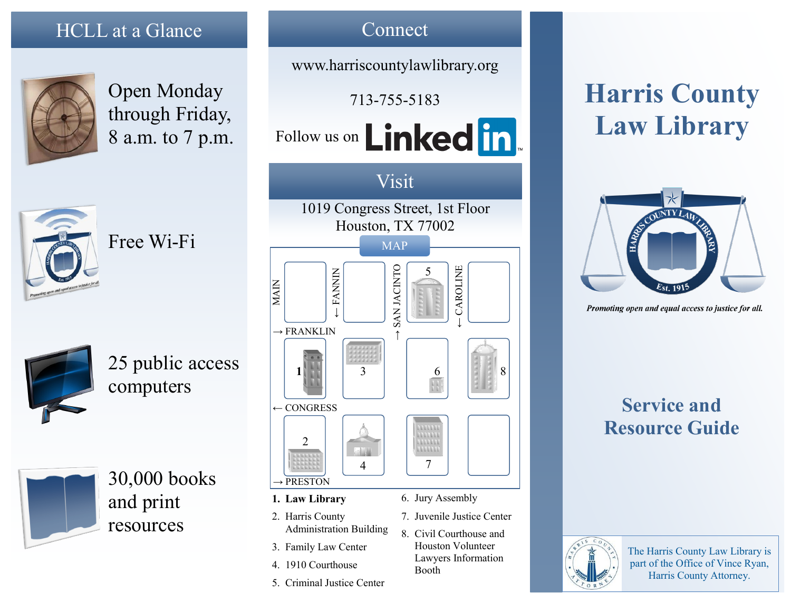## HCLL at a Glance



Open Monday through Friday, 8 a.m. to 7 p.m.



Free Wi-Fi



25 public access computers

30,000 books and print resources



Connect

www.harriscountylawlibrary.org

6. Jury Assembly

Booth

7. Juvenile Justice Center 8. Civil Courthouse and Houston Volunteer Lawyers Information

- 2. Harris County Administration Building
- 3. Family Law Center
- 4. 1910 Courthouse
- 5. Criminal Justice Center

**Harris County Law Library**



Promoting open and equal access to justice for all.

# **Service and Resource Guide**



The Harris County Law Library is part of the Office of Vince Ryan, Harris County Attorney.